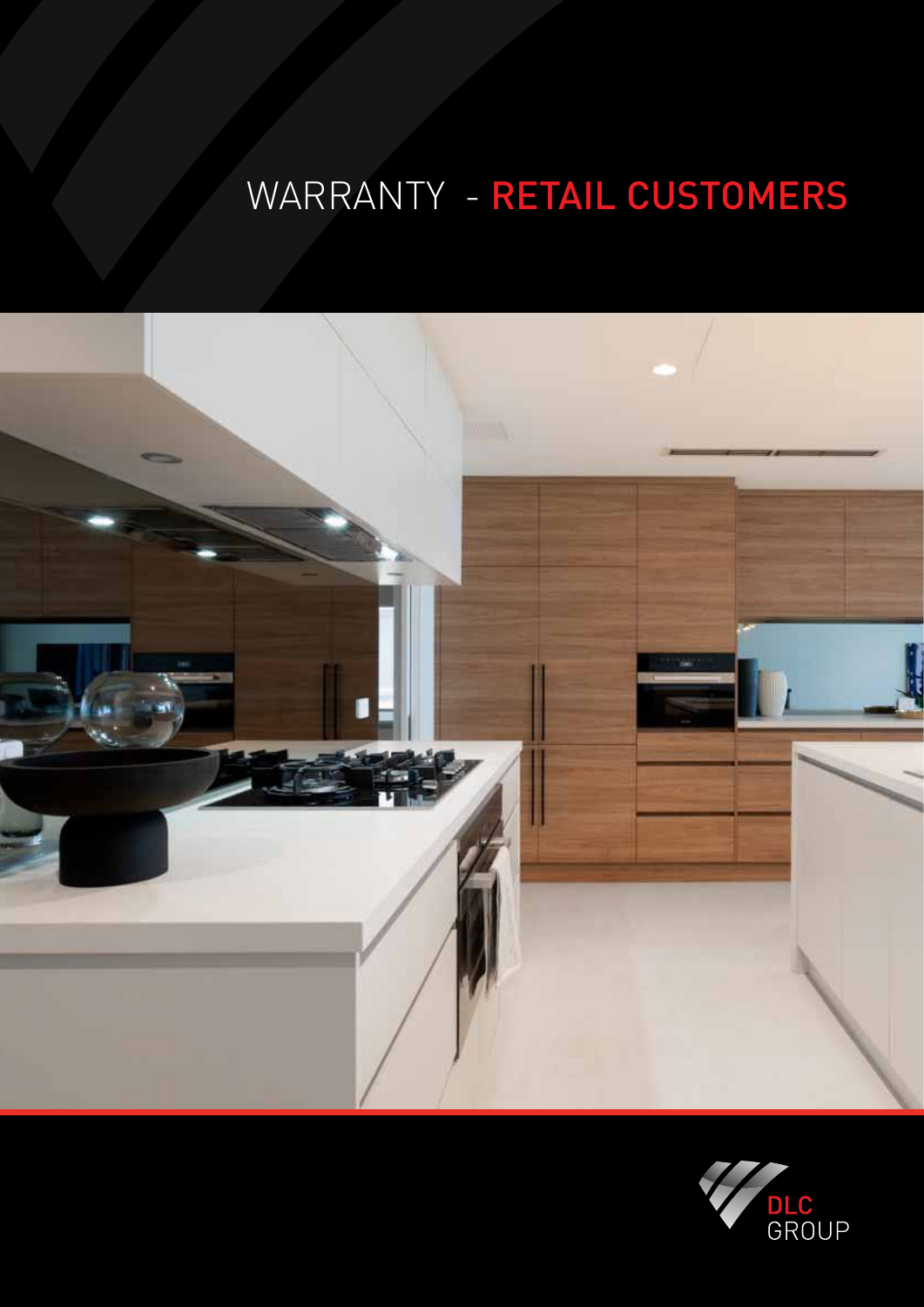# WARRANTY - RETAIL CUSTOMERS